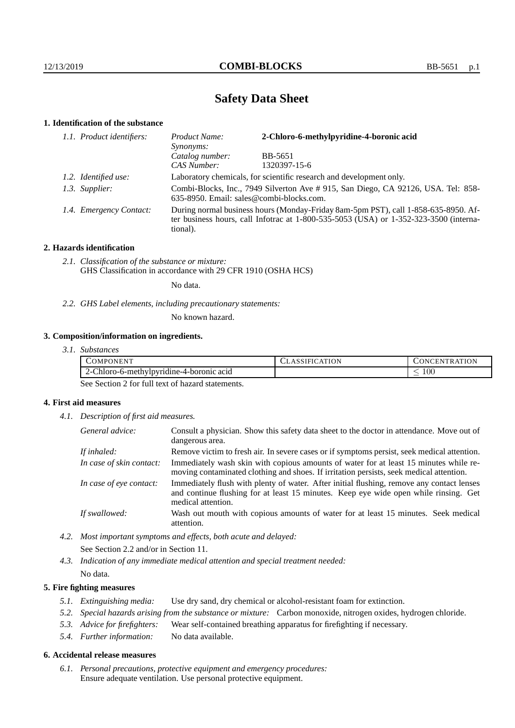## **Safety Data Sheet**

## **1. Identification of the substance**

| 1.1. Product identifiers: | 2-Chloro-6-methylpyridine-4-boronic acid<br>Product Name:<br>Synonyms:                                                                                                                      |              |  |
|---------------------------|---------------------------------------------------------------------------------------------------------------------------------------------------------------------------------------------|--------------|--|
|                           | Catalog number:                                                                                                                                                                             | BB-5651      |  |
|                           | CAS Number:                                                                                                                                                                                 | 1320397-15-6 |  |
| 1.2. Identified use:      | Laboratory chemicals, for scientific research and development only.                                                                                                                         |              |  |
| 1.3. Supplier:            | Combi-Blocks, Inc., 7949 Silverton Ave #915, San Diego, CA 92126, USA. Tel: 858-<br>635-8950. Email: sales@combi-blocks.com.                                                                |              |  |
| 1.4. Emergency Contact:   | During normal business hours (Monday-Friday 8am-5pm PST), call 1-858-635-8950. Af-<br>ter business hours, call Infotrac at $1-800-535-5053$ (USA) or $1-352-323-3500$ (interna-<br>tional). |              |  |

## **2. Hazards identification**

*2.1. Classification of the substance or mixture:* GHS Classification in accordance with 29 CFR 1910 (OSHA HCS)

No data.

*2.2. GHS Label elements, including precautionary statements:*

No known hazard.

## **3. Composition/information on ingredients.**

| 3.1. Substances |  |
|-----------------|--|
|                 |  |

| ONEN <sup>T</sup><br>OMPC                        | <b>ATION</b><br>SSIFICAT<br>A | NTR ATION<br>-ENT<br>.NU |
|--------------------------------------------------|-------------------------------|--------------------------|
| -Chloro-6-methylpyridine-4-boronic acid<br>′ – ' |                               | $100\,$<br>_             |

See Section 2 for full text of hazard statements.

## **4. First aid measures**

*4.1. Description of first aid measures.*

| General advice:          | Consult a physician. Show this safety data sheet to the doctor in attendance. Move out of<br>dangerous area.                                                                                            |
|--------------------------|---------------------------------------------------------------------------------------------------------------------------------------------------------------------------------------------------------|
| If inhaled:              | Remove victim to fresh air. In severe cases or if symptoms persist, seek medical attention.                                                                                                             |
| In case of skin contact: | Immediately wash skin with copious amounts of water for at least 15 minutes while re-<br>moving contaminated clothing and shoes. If irritation persists, seek medical attention.                        |
| In case of eye contact:  | Immediately flush with plenty of water. After initial flushing, remove any contact lenses<br>and continue flushing for at least 15 minutes. Keep eye wide open while rinsing. Get<br>medical attention. |
| If swallowed:            | Wash out mouth with copious amounts of water for at least 15 minutes. Seek medical<br>attention.                                                                                                        |

*4.2. Most important symptoms and effects, both acute and delayed:* See Section 2.2 and/or in Section 11.

*4.3. Indication of any immediate medical attention and special treatment needed:* No data.

### **5. Fire fighting measures**

- *5.1. Extinguishing media:* Use dry sand, dry chemical or alcohol-resistant foam for extinction.
- *5.2. Special hazards arising from the substance or mixture:* Carbon monoxide, nitrogen oxides, hydrogen chloride.
- *5.3. Advice for firefighters:* Wear self-contained breathing apparatus for firefighting if necessary.
- *5.4. Further information:* No data available.

#### **6. Accidental release measures**

*6.1. Personal precautions, protective equipment and emergency procedures:* Ensure adequate ventilation. Use personal protective equipment.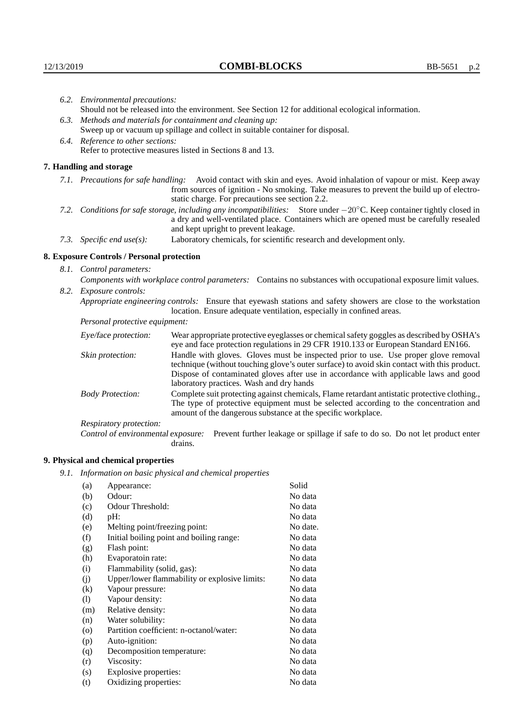| 6.2. Environmental precautions:                                                                                                                                                                                                                                     |                                                                                                                                                                                                                                                                    |  |  |
|---------------------------------------------------------------------------------------------------------------------------------------------------------------------------------------------------------------------------------------------------------------------|--------------------------------------------------------------------------------------------------------------------------------------------------------------------------------------------------------------------------------------------------------------------|--|--|
| Should not be released into the environment. See Section 12 for additional ecological information.                                                                                                                                                                  |                                                                                                                                                                                                                                                                    |  |  |
| 6.3. Methods and materials for containment and cleaning up:                                                                                                                                                                                                         |                                                                                                                                                                                                                                                                    |  |  |
| Sweep up or vacuum up spillage and collect in suitable container for disposal.                                                                                                                                                                                      |                                                                                                                                                                                                                                                                    |  |  |
| 6.4. Reference to other sections:                                                                                                                                                                                                                                   |                                                                                                                                                                                                                                                                    |  |  |
|                                                                                                                                                                                                                                                                     | Refer to protective measures listed in Sections 8 and 13.                                                                                                                                                                                                          |  |  |
| 7. Handling and storage                                                                                                                                                                                                                                             |                                                                                                                                                                                                                                                                    |  |  |
|                                                                                                                                                                                                                                                                     | 7.1. Precautions for safe handling: Avoid contact with skin and eyes. Avoid inhalation of vapour or mist. Keep away<br>from sources of ignition - No smoking. Take measures to prevent the build up of electro-<br>static charge. For precautions see section 2.2. |  |  |
| 7.2. Conditions for safe storage, including any incompatibilities: Store under $-20^{\circ}$ C. Keep container tightly closed in<br>a dry and well-ventilated place. Containers which are opened must be carefully resealed<br>and kept upright to prevent leakage. |                                                                                                                                                                                                                                                                    |  |  |
| 7.3. Specific end use(s):                                                                                                                                                                                                                                           | Laboratory chemicals, for scientific research and development only.                                                                                                                                                                                                |  |  |
| 8. Exposure Controls / Personal protection                                                                                                                                                                                                                          |                                                                                                                                                                                                                                                                    |  |  |
| 8.1. Control parameters:                                                                                                                                                                                                                                            |                                                                                                                                                                                                                                                                    |  |  |
|                                                                                                                                                                                                                                                                     | Components with workplace control parameters: Contains no substances with occupational exposure limit values.                                                                                                                                                      |  |  |
| 8.2. Exposure controls:                                                                                                                                                                                                                                             |                                                                                                                                                                                                                                                                    |  |  |
|                                                                                                                                                                                                                                                                     | Appropriate engineering controls: Ensure that eyewash stations and safety showers are close to the workstation<br>location. Ensure adequate ventilation, especially in confined areas.                                                                             |  |  |
| Personal protective equipment:                                                                                                                                                                                                                                      |                                                                                                                                                                                                                                                                    |  |  |
| Eye/face protection:                                                                                                                                                                                                                                                | Wear appropriate protective eyeglasses or chemical safety goggles as described by OSHA's<br>eye and face protection regulations in 29 CFR 1910.133 or European Standard EN166.                                                                                     |  |  |
| Skin protection:                                                                                                                                                                                                                                                    | Handle with gloves. Gloves must be inspected prior to use. Use proper glove removal<br>technique (without touching glove's outer surface) to avoid skin contact with this product                                                                                  |  |  |

## **8. Exposure Controls / Personal protection**

| Eye/face protection:               | Wear appropriate protective eyeglasses or chemical safety goggles as described by OSHA's<br>eye and face protection regulations in 29 CFR 1910.133 or European Standard EN166.                                                                                                                                         |  |  |
|------------------------------------|------------------------------------------------------------------------------------------------------------------------------------------------------------------------------------------------------------------------------------------------------------------------------------------------------------------------|--|--|
| Skin protection:                   | Handle with gloves. Gloves must be inspected prior to use. Use proper glove removal<br>technique (without touching glove's outer surface) to avoid skin contact with this product.<br>Dispose of contaminated gloves after use in accordance with applicable laws and good<br>laboratory practices. Wash and dry hands |  |  |
| <b>Body Protection:</b>            | Complete suit protecting against chemicals, Flame retardant antistatic protective clothing.,<br>The type of protective equipment must be selected according to the concentration and<br>amount of the dangerous substance at the specific workplace.                                                                   |  |  |
| Respiratory protection:            |                                                                                                                                                                                                                                                                                                                        |  |  |
| Control of environmental exposure: | Prevent further leakage or spillage if safe to do so. Do not let product enter<br>drains.                                                                                                                                                                                                                              |  |  |

# **9. Physical and chemical properties**

*9.1. Information on basic physical and chemical properties*

|         | enjormanon on oasie prejstoat anar enemieat propernes |          |
|---------|-------------------------------------------------------|----------|
| (a)     | Appearance:                                           | Solid    |
| (b)     | Odour:                                                | No data  |
| (c)     | Odour Threshold:                                      | No data  |
| (d)     | pH:                                                   | No data  |
| (e)     | Melting point/freezing point:                         | No date. |
| (f)     | Initial boiling point and boiling range:              | No data  |
| (g)     | Flash point:                                          | No data  |
| (h)     | Evaporatoin rate:                                     | No data  |
| (i)     | Flammability (solid, gas):                            | No data  |
| (j)     | Upper/lower flammability or explosive limits:         | No data  |
| (k)     | Vapour pressure:                                      | No data  |
| (1)     | Vapour density:                                       | No data  |
| (m)     | Relative density:                                     | No data  |
| (n)     | Water solubility:                                     | No data  |
| $\circ$ | Partition coefficient: n-octanol/water:               | No data  |
| (p)     | Auto-ignition:                                        | No data  |
| (q)     | Decomposition temperature:                            | No data  |
| (r)     | Viscosity:                                            | No data  |
| (s)     | Explosive properties:                                 | No data  |
| (t)     | Oxidizing properties:                                 | No data  |